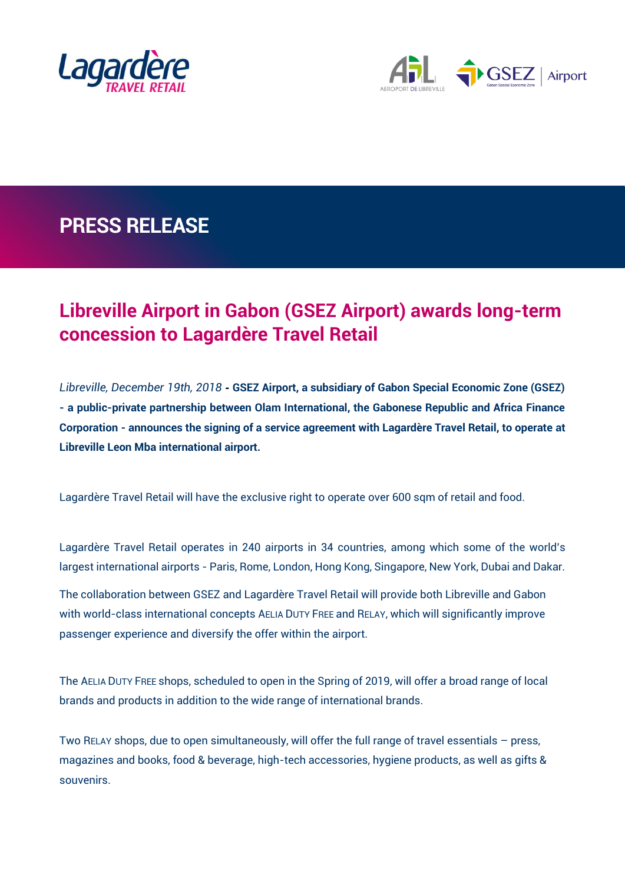



## **PRESS RELEASE**

## **Libreville Airport in Gabon (GSEZ Airport) awards long-term concession to Lagardère Travel Retail**

*Libreville, December 19th, 2018* **- GSEZ Airport, a subsidiary of Gabon Special Economic Zone (GSEZ) - a public-private partnership between Olam International, the Gabonese Republic and Africa Finance Corporation - announces the signing of a service agreement with Lagardère Travel Retail, to operate at Libreville Leon Mba international airport.** 

Lagardère Travel Retail will have the exclusive right to operate over 600 sqm of retail and food.

Lagardère Travel Retail operates in 240 airports in 34 countries, among which some of the world's largest international airports - Paris, Rome, London, Hong Kong, Singapore, New York, Dubai and Dakar.

The collaboration between GSEZ and Lagardère Travel Retail will provide both Libreville and Gabon with world-class international concepts AELIA DUTY FREE and RELAY, which will significantly improve passenger experience and diversify the offer within the airport.

The AELIA DUTY FREE shops, scheduled to open in the Spring of 2019, will offer a broad range of local brands and products in addition to the wide range of international brands.

Two RELAY shops, due to open simultaneously, will offer the full range of travel essentials – press, magazines and books, food & beverage, high-tech accessories, hygiene products, as well as gifts & souvenirs.